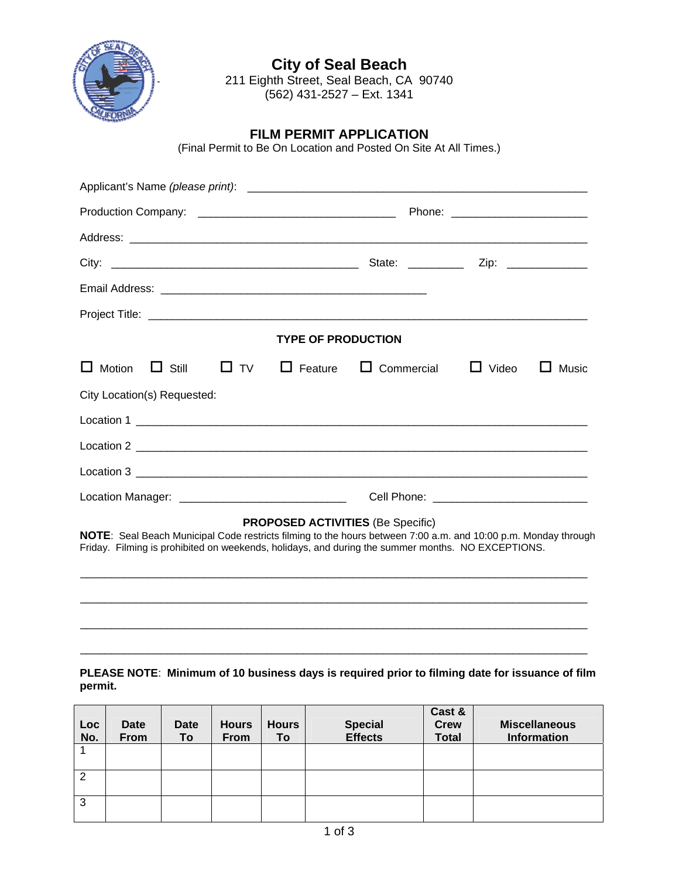

**City of Seal Beach** 211 Eighth Street, Seal Beach, CA 90740 (562) 431-2527 – Ext. 1341

### **FILM PERMIT APPLICATION**

(Final Permit to Be On Location and Posted On Site At All Times.)

| <b>TYPE OF PRODUCTION</b>                                            |  |  |  |  |  |  |  |  |
|----------------------------------------------------------------------|--|--|--|--|--|--|--|--|
| □ Still □ TV □ Feature □ Commercial □ Video □ Music<br>$\Box$ Motion |  |  |  |  |  |  |  |  |
| City Location(s) Requested:                                          |  |  |  |  |  |  |  |  |
|                                                                      |  |  |  |  |  |  |  |  |
|                                                                      |  |  |  |  |  |  |  |  |
|                                                                      |  |  |  |  |  |  |  |  |
| Location Manager: _________________________________                  |  |  |  |  |  |  |  |  |

#### **PROPOSED ACTIVITIES** (Be Specific)

**NOTE**: Seal Beach Municipal Code restricts filming to the hours between 7:00 a.m. and 10:00 p.m. Monday through Friday. Filming is prohibited on weekends, holidays, and during the summer months. NO EXCEPTIONS.

\_\_\_\_\_\_\_\_\_\_\_\_\_\_\_\_\_\_\_\_\_\_\_\_\_\_\_\_\_\_\_\_\_\_\_\_\_\_\_\_\_\_\_\_\_\_\_\_\_\_\_\_\_\_\_\_\_\_\_\_\_\_\_\_\_\_\_\_\_\_\_\_\_\_\_\_\_\_\_\_\_\_

\_\_\_\_\_\_\_\_\_\_\_\_\_\_\_\_\_\_\_\_\_\_\_\_\_\_\_\_\_\_\_\_\_\_\_\_\_\_\_\_\_\_\_\_\_\_\_\_\_\_\_\_\_\_\_\_\_\_\_\_\_\_\_\_\_\_\_\_\_\_\_\_\_\_\_\_\_\_\_\_\_\_

\_\_\_\_\_\_\_\_\_\_\_\_\_\_\_\_\_\_\_\_\_\_\_\_\_\_\_\_\_\_\_\_\_\_\_\_\_\_\_\_\_\_\_\_\_\_\_\_\_\_\_\_\_\_\_\_\_\_\_\_\_\_\_\_\_\_\_\_\_\_\_\_\_\_\_\_\_\_\_\_\_\_

\_\_\_\_\_\_\_\_\_\_\_\_\_\_\_\_\_\_\_\_\_\_\_\_\_\_\_\_\_\_\_\_\_\_\_\_\_\_\_\_\_\_\_\_\_\_\_\_\_\_\_\_\_\_\_\_\_\_\_\_\_\_\_\_\_\_\_\_\_\_\_\_\_\_\_\_\_\_\_\_\_\_

#### **PLEASE NOTE**: **Minimum of 10 business days is required prior to filming date for issuance of film permit.**

| Loc<br>No.     | <b>Date</b><br>From | <b>Date</b><br>To | <b>Hours</b><br><b>From</b> | <b>Hours</b><br>To | <b>Special</b><br><b>Effects</b> | Cast &<br><b>Crew</b><br><b>Total</b> | <b>Miscellaneous</b><br>Information |
|----------------|---------------------|-------------------|-----------------------------|--------------------|----------------------------------|---------------------------------------|-------------------------------------|
|                |                     |                   |                             |                    |                                  |                                       |                                     |
| $\overline{2}$ |                     |                   |                             |                    |                                  |                                       |                                     |
| 3              |                     |                   |                             |                    |                                  |                                       |                                     |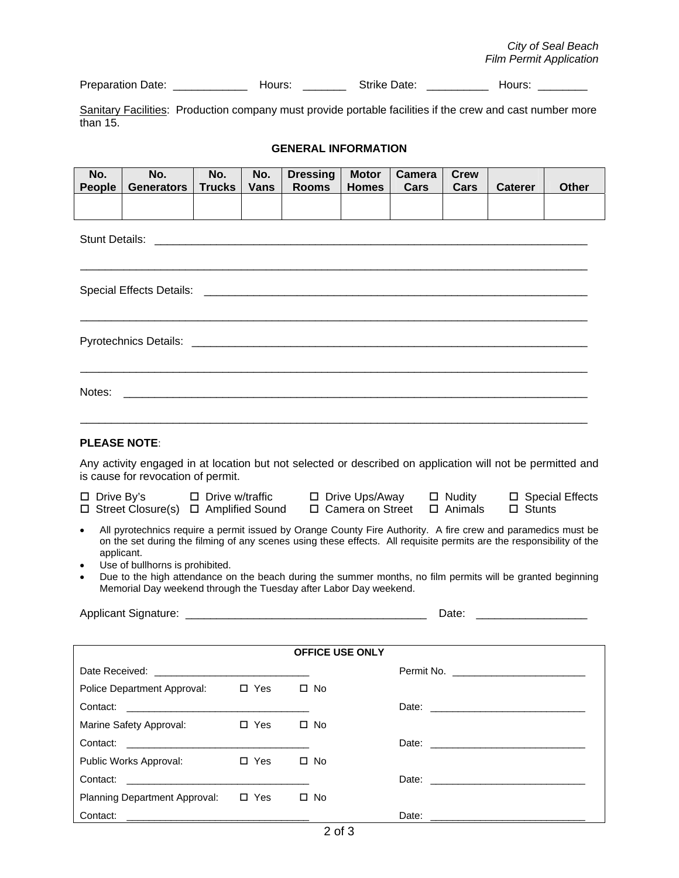| <b>Preparation Date:</b> | -lours: | Strike Date: | Hours. |
|--------------------------|---------|--------------|--------|
|                          |         |              |        |

Sanitary Facilities: Production company must provide portable facilities if the crew and cast number more than 15.

#### **GENERAL INFORMATION**

| No.<br>People                                                                                                                                                                                                                                                                                                                                                                                                                                                                                            | No.<br><b>Generators</b>                                 | No.<br><b>Trucks</b> | No.<br><b>Vans</b> |  | <b>Dressing</b><br><b>Rooms</b> | <b>Motor</b><br><b>Homes</b> | Camera<br>Cars | <b>Crew</b><br>Cars | <b>Caterer</b>                                                                                                 | <b>Other</b> |
|----------------------------------------------------------------------------------------------------------------------------------------------------------------------------------------------------------------------------------------------------------------------------------------------------------------------------------------------------------------------------------------------------------------------------------------------------------------------------------------------------------|----------------------------------------------------------|----------------------|--------------------|--|---------------------------------|------------------------------|----------------|---------------------|----------------------------------------------------------------------------------------------------------------|--------------|
|                                                                                                                                                                                                                                                                                                                                                                                                                                                                                                          |                                                          |                      |                    |  |                                 |                              |                |                     |                                                                                                                |              |
| <b>Stunt Details:</b><br><u> 2001 - 2002 - 2003 - 2004 - 2005 - 2006 - 2007 - 2008 - 2009 - 2009 - 2009 - 2009 - 2009 - 2009 - 200</u>                                                                                                                                                                                                                                                                                                                                                                   |                                                          |                      |                    |  |                                 |                              |                |                     |                                                                                                                |              |
|                                                                                                                                                                                                                                                                                                                                                                                                                                                                                                          |                                                          |                      |                    |  |                                 |                              |                |                     |                                                                                                                |              |
|                                                                                                                                                                                                                                                                                                                                                                                                                                                                                                          |                                                          |                      |                    |  |                                 |                              |                |                     |                                                                                                                |              |
| Notes:                                                                                                                                                                                                                                                                                                                                                                                                                                                                                                   |                                                          |                      |                    |  |                                 |                              |                |                     |                                                                                                                |              |
| <b>PLEASE NOTE:</b>                                                                                                                                                                                                                                                                                                                                                                                                                                                                                      |                                                          |                      |                    |  |                                 |                              |                |                     |                                                                                                                |              |
| Any activity engaged in at location but not selected or described on application will not be permitted and<br>is cause for revocation of permit.                                                                                                                                                                                                                                                                                                                                                         |                                                          |                      |                    |  |                                 |                              |                |                     |                                                                                                                |              |
| $\square$ Drive By's<br>$\Box$ Drive w/traffic $\Box$ Drive Ups/Away $\Box$ Nudity<br>□ Special Effects<br>□ Camera on Street<br>$\Box$ Street Closure(s) $\Box$ Amplified Sound<br>$\Box$ Animals<br>$\square$ Stunts                                                                                                                                                                                                                                                                                   |                                                          |                      |                    |  |                                 |                              |                |                     |                                                                                                                |              |
| All pyrotechnics require a permit issued by Orange County Fire Authority. A fire crew and paramedics must be<br>$\bullet$<br>on the set during the filming of any scenes using these effects. All requisite permits are the responsibility of the<br>applicant.<br>Use of bullhorns is prohibited.<br>$\bullet$<br>Due to the high attendance on the beach during the summer months, no film permits will be granted beginning<br>٠<br>Memorial Day weekend through the Tuesday after Labor Day weekend. |                                                          |                      |                    |  |                                 |                              |                |                     |                                                                                                                |              |
|                                                                                                                                                                                                                                                                                                                                                                                                                                                                                                          |                                                          |                      |                    |  |                                 |                              |                | Date:               | <u> 1980 - Johann Barn, mars eta bainar eta i</u>                                                              |              |
| <b>OFFICE USE ONLY</b>                                                                                                                                                                                                                                                                                                                                                                                                                                                                                   |                                                          |                      |                    |  |                                 |                              |                |                     |                                                                                                                |              |
|                                                                                                                                                                                                                                                                                                                                                                                                                                                                                                          |                                                          |                      |                    |  |                                 |                              |                |                     | Permit No. 2008 2014 12:00:00 12:00:00 12:00:00 12:00:00 12:00:00 12:00:00 12:00:00 12:00:00 12:00:00 12:00:00 |              |
|                                                                                                                                                                                                                                                                                                                                                                                                                                                                                                          | Police Department Approval:                              |                      | $\square$ Yes      |  | $\square$ No                    |                              |                |                     |                                                                                                                |              |
|                                                                                                                                                                                                                                                                                                                                                                                                                                                                                                          |                                                          |                      |                    |  |                                 |                              |                |                     |                                                                                                                |              |
|                                                                                                                                                                                                                                                                                                                                                                                                                                                                                                          | Marine Safety Approval:<br>$\Box$ Yes<br>$\square$ No    |                      |                    |  |                                 |                              |                |                     |                                                                                                                |              |
|                                                                                                                                                                                                                                                                                                                                                                                                                                                                                                          |                                                          |                      |                    |  |                                 |                              |                |                     |                                                                                                                |              |
|                                                                                                                                                                                                                                                                                                                                                                                                                                                                                                          | Public Works Approval:                                   |                      | $\Box$ Yes         |  | $\square$ No                    |                              |                |                     |                                                                                                                |              |
| Contact:                                                                                                                                                                                                                                                                                                                                                                                                                                                                                                 | <u> 2000 - Jan Barbara Barbara, masa masa sa sa sa n</u> |                      |                    |  |                                 |                              |                |                     |                                                                                                                |              |
|                                                                                                                                                                                                                                                                                                                                                                                                                                                                                                          | <b>Planning Department Approval:</b>                     |                      | $\square$ Yes      |  | $\square$ No                    |                              |                |                     |                                                                                                                |              |
|                                                                                                                                                                                                                                                                                                                                                                                                                                                                                                          |                                                          |                      |                    |  |                                 |                              |                |                     |                                                                                                                |              |